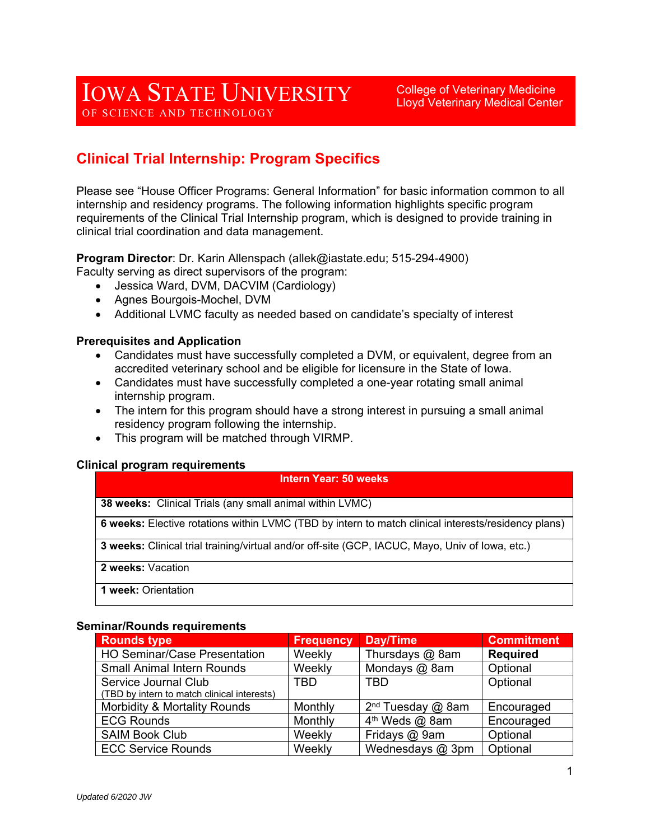College of Veterinary Medicine Lloyd Veterinary Medical Center

# **Clinical Trial Internship: Program Specifics**

Please see "House Officer Programs: General Information" for basic information common to all internship and residency programs. The following information highlights specific program requirements of the Clinical Trial Internship program, which is designed to provide training in clinical trial coordination and data management.

**Program Director**: Dr. Karin Allenspach (allek@iastate.edu; 515-294-4900)

Faculty serving as direct supervisors of the program:

- Jessica Ward, DVM, DACVIM (Cardiology)
- Agnes Bourgois-Mochel, DVM
- Additional LVMC faculty as needed based on candidate's specialty of interest

#### **Prerequisites and Application**

- Candidates must have successfully completed a DVM, or equivalent, degree from an accredited veterinary school and be eligible for licensure in the State of Iowa.
- Candidates must have successfully completed a one-year rotating small animal internship program.
- The intern for this program should have a strong interest in pursuing a small animal residency program following the internship.
- This program will be matched through VIRMP.

#### **Clinical program requirements**

#### **Intern Year: 50 weeks**

**38 weeks:** Clinical Trials (any small animal within LVMC)

**6 weeks:** Elective rotations within LVMC (TBD by intern to match clinical interests/residency plans)

**3 weeks:** Clinical trial training/virtual and/or off-site (GCP, IACUC, Mayo, Univ of Iowa, etc.)

**2 weeks:** Vacation

**1 week:** Orientation

#### **Seminar/Rounds requirements**

| <b>Rounds type</b>                          | <b>Frequency</b> | Day/Time                      | <b>Commitment</b> |
|---------------------------------------------|------------------|-------------------------------|-------------------|
| <b>HO Seminar/Case Presentation</b>         | Weekly           | Thursdays @ 8am               | <b>Required</b>   |
| <b>Small Animal Intern Rounds</b>           | Weekly           | Mondays @ 8am                 | Optional          |
| Service Journal Club                        | TBD              | <b>TBD</b>                    | Optional          |
| (TBD by intern to match clinical interests) |                  |                               |                   |
| Morbidity & Mortality Rounds                | Monthly          | 2 <sup>nd</sup> Tuesday @ 8am | Encouraged        |
| <b>ECG Rounds</b>                           | Monthly          | 4 <sup>th</sup> Weds @ 8am    | Encouraged        |
| <b>SAIM Book Club</b>                       | Weekly           | Fridays @ 9am                 | Optional          |
| <b>ECC Service Rounds</b>                   | Weekly           | Wednesdays @ 3pm              | Optional          |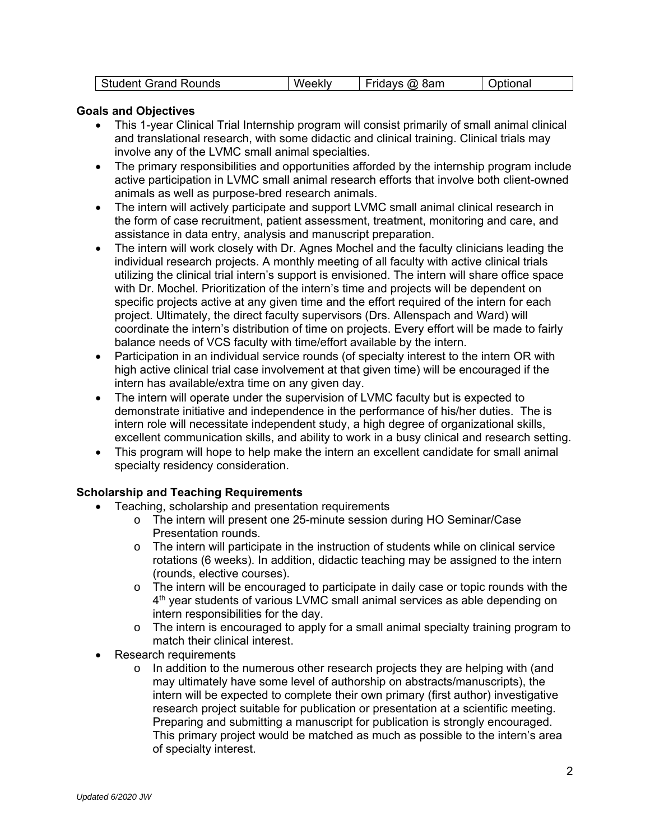| inds<br>.<br>$-1$<br>יור | 'N | 'Sam<br>$\cdots$<br>.<br>$\cdot$ $\cdot$ | - - |
|--------------------------|----|------------------------------------------|-----|
|--------------------------|----|------------------------------------------|-----|

### **Goals and Objectives**

- This 1-year Clinical Trial Internship program will consist primarily of small animal clinical and translational research, with some didactic and clinical training. Clinical trials may involve any of the LVMC small animal specialties.
- The primary responsibilities and opportunities afforded by the internship program include active participation in LVMC small animal research efforts that involve both client-owned animals as well as purpose-bred research animals.
- The intern will actively participate and support LVMC small animal clinical research in the form of case recruitment, patient assessment, treatment, monitoring and care, and assistance in data entry, analysis and manuscript preparation.
- The intern will work closely with Dr. Agnes Mochel and the faculty clinicians leading the individual research projects. A monthly meeting of all faculty with active clinical trials utilizing the clinical trial intern's support is envisioned. The intern will share office space with Dr. Mochel. Prioritization of the intern's time and projects will be dependent on specific projects active at any given time and the effort required of the intern for each project. Ultimately, the direct faculty supervisors (Drs. Allenspach and Ward) will coordinate the intern's distribution of time on projects. Every effort will be made to fairly balance needs of VCS faculty with time/effort available by the intern.
- Participation in an individual service rounds (of specialty interest to the intern OR with high active clinical trial case involvement at that given time) will be encouraged if the intern has available/extra time on any given day.
- The intern will operate under the supervision of LVMC faculty but is expected to demonstrate initiative and independence in the performance of his/her duties. The is intern role will necessitate independent study, a high degree of organizational skills, excellent communication skills, and ability to work in a busy clinical and research setting.
- This program will hope to help make the intern an excellent candidate for small animal specialty residency consideration.

## **Scholarship and Teaching Requirements**

- Teaching, scholarship and presentation requirements
	- o The intern will present one 25-minute session during HO Seminar/Case Presentation rounds.
	- $\circ$  The intern will participate in the instruction of students while on clinical service rotations (6 weeks). In addition, didactic teaching may be assigned to the intern (rounds, elective courses).
	- $\circ$  The intern will be encouraged to participate in daily case or topic rounds with the 4<sup>th</sup> year students of various LVMC small animal services as able depending on intern responsibilities for the day.
	- $\circ$  The intern is encouraged to apply for a small animal specialty training program to match their clinical interest.
- Research requirements
	- $\circ$  In addition to the numerous other research projects they are helping with (and may ultimately have some level of authorship on abstracts/manuscripts), the intern will be expected to complete their own primary (first author) investigative research project suitable for publication or presentation at a scientific meeting. Preparing and submitting a manuscript for publication is strongly encouraged. This primary project would be matched as much as possible to the intern's area of specialty interest.